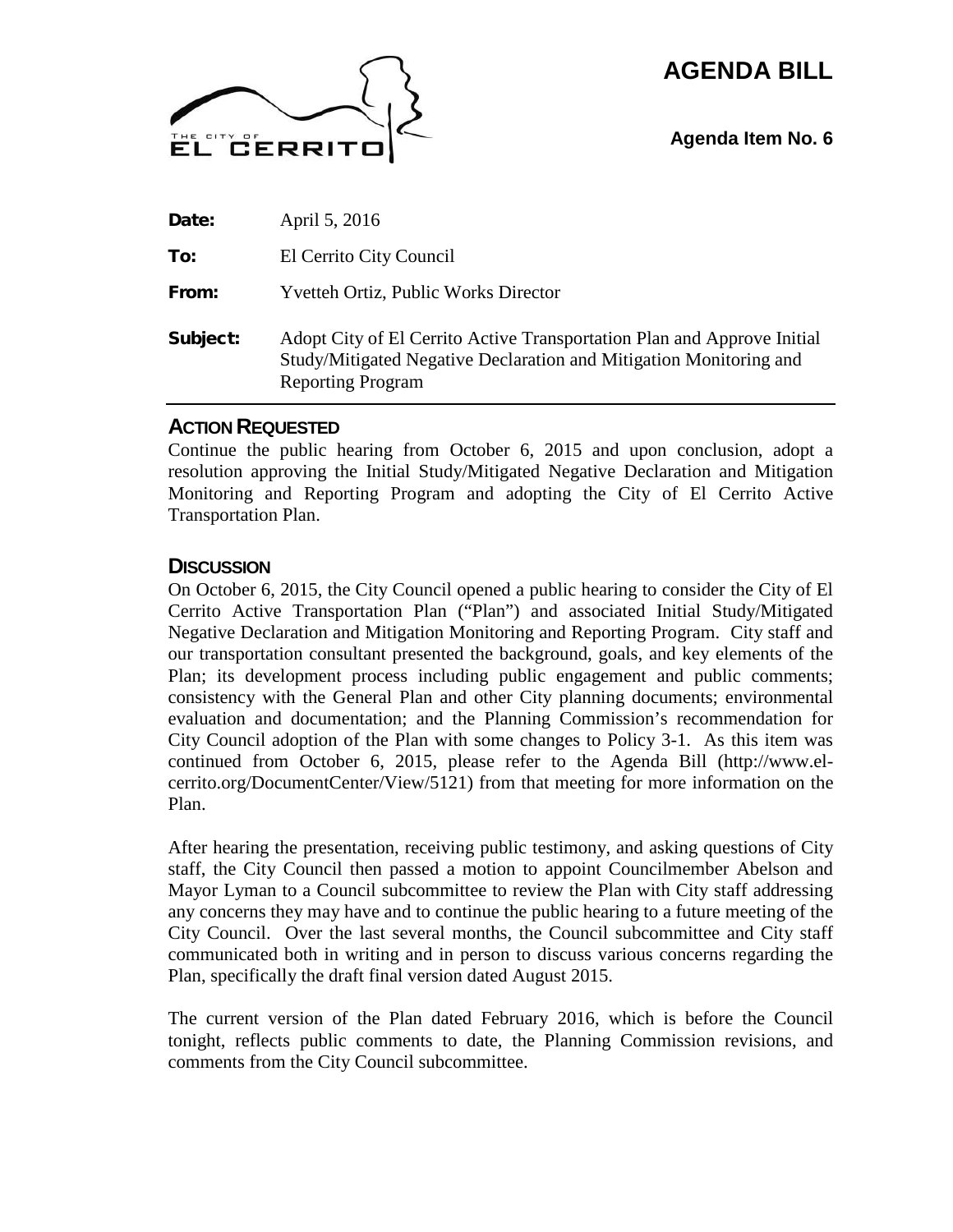# **AGENDA BILL**



**Agenda Item No. 6**

| Subject: | Adopt City of El Cerrito Active Transportation Plan and Approve Initial<br>Study/Mitigated Negative Declaration and Mitigation Monitoring and<br><b>Reporting Program</b> |
|----------|---------------------------------------------------------------------------------------------------------------------------------------------------------------------------|
| From:    | <b>Yvetteh Ortiz, Public Works Director</b>                                                                                                                               |
| To:      | El Cerrito City Council                                                                                                                                                   |
| Date:    | April 5, 2016                                                                                                                                                             |

### **ACTION REQUESTED**

Continue the public hearing from October 6, 2015 and upon conclusion, adopt a resolution approving the Initial Study/Mitigated Negative Declaration and Mitigation Monitoring and Reporting Program and adopting the City of El Cerrito Active Transportation Plan.

### **DISCUSSION**

On October 6, 2015, the City Council opened a public hearing to consider the City of El Cerrito Active Transportation Plan ("Plan") and associated Initial Study/Mitigated Negative Declaration and Mitigation Monitoring and Reporting Program. City staff and our transportation consultant presented the background, goals, and key elements of the Plan; its development process including public engagement and public comments; consistency with the General Plan and other City planning documents; environmental evaluation and documentation; and the Planning Commission's recommendation for City Council adoption of the Plan with some changes to Policy 3-1. As this item was continued from October 6, 2015, please refer to the Agenda Bill (http://www.elcerrito.org/DocumentCenter/View/5121) from that meeting for more information on the Plan.

After hearing the presentation, receiving public testimony, and asking questions of City staff, the City Council then passed a motion to appoint Councilmember Abelson and Mayor Lyman to a Council subcommittee to review the Plan with City staff addressing any concerns they may have and to continue the public hearing to a future meeting of the City Council. Over the last several months, the Council subcommittee and City staff communicated both in writing and in person to discuss various concerns regarding the Plan, specifically the draft final version dated August 2015.

The current version of the Plan dated February 2016, which is before the Council tonight, reflects public comments to date, the Planning Commission revisions, and comments from the City Council subcommittee.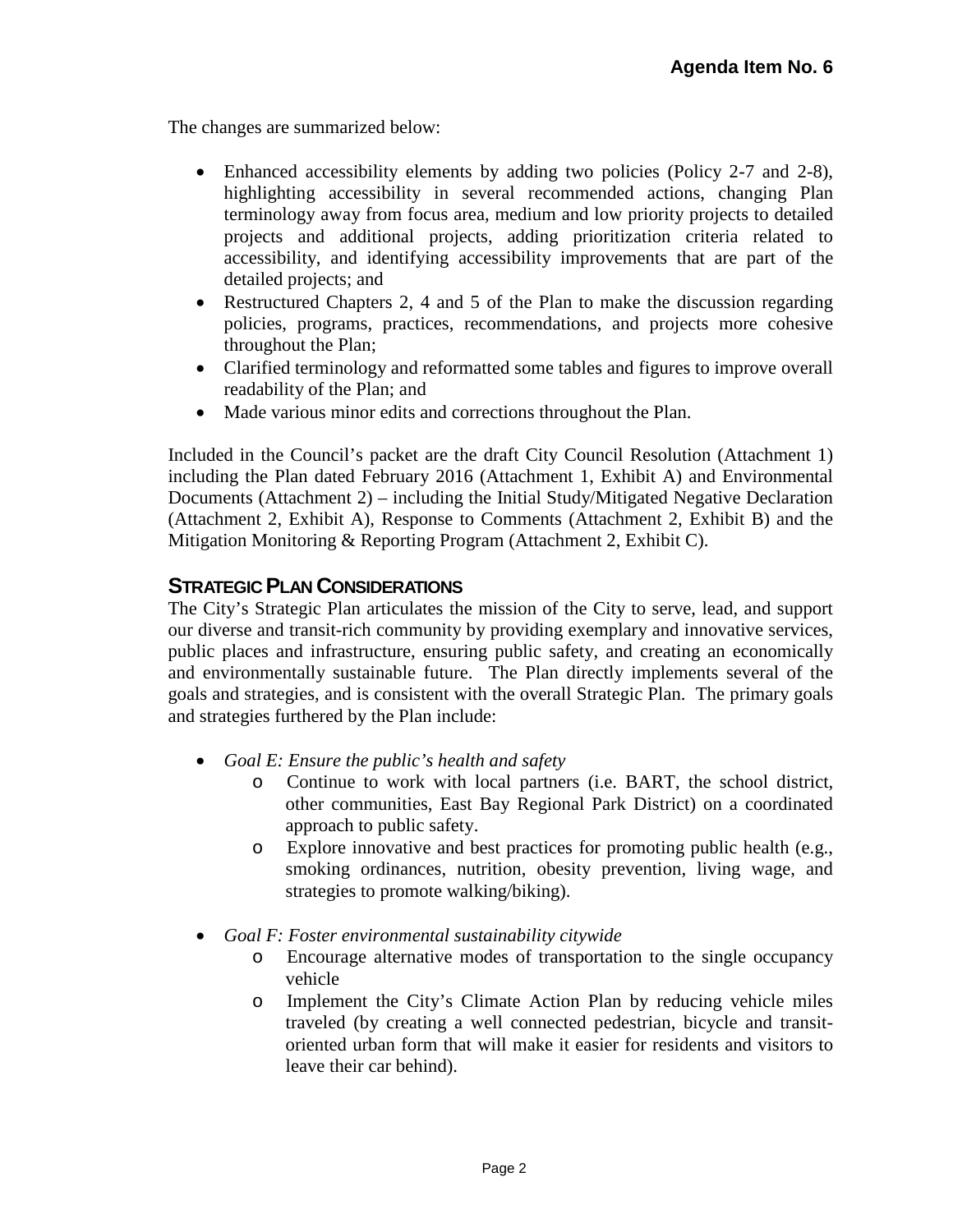The changes are summarized below:

- Enhanced accessibility elements by adding two policies (Policy 2-7 and 2-8), highlighting accessibility in several recommended actions, changing Plan terminology away from focus area, medium and low priority projects to detailed projects and additional projects, adding prioritization criteria related to accessibility, and identifying accessibility improvements that are part of the detailed projects; and
- Restructured Chapters 2, 4 and 5 of the Plan to make the discussion regarding policies, programs, practices, recommendations, and projects more cohesive throughout the Plan;
- Clarified terminology and reformatted some tables and figures to improve overall readability of the Plan; and
- Made various minor edits and corrections throughout the Plan.

Included in the Council's packet are the draft City Council Resolution (Attachment 1) including the Plan dated February 2016 (Attachment 1, Exhibit A) and Environmental Documents (Attachment 2) – including the Initial Study/Mitigated Negative Declaration (Attachment 2, Exhibit A), Response to Comments (Attachment 2, Exhibit B) and the Mitigation Monitoring & Reporting Program (Attachment 2, Exhibit C).

### **STRATEGIC PLAN CONSIDERATIONS**

The City's Strategic Plan articulates the mission of the City to serve, lead, and support our diverse and transit-rich community by providing exemplary and innovative services, public places and infrastructure, ensuring public safety, and creating an economically and environmentally sustainable future. The Plan directly implements several of the goals and strategies, and is consistent with the overall Strategic Plan. The primary goals and strategies furthered by the Plan include:

- *Goal E: Ensure the public's health and safety*
	- o Continue to work with local partners (i.e. BART, the school district, other communities, East Bay Regional Park District) on a coordinated approach to public safety.
	- o Explore innovative and best practices for promoting public health (e.g., smoking ordinances, nutrition, obesity prevention, living wage, and strategies to promote walking/biking).
- *Goal F: Foster environmental sustainability citywide*
	- o Encourage alternative modes of transportation to the single occupancy vehicle
	- o Implement the City's Climate Action Plan by reducing vehicle miles traveled (by creating a well connected pedestrian, bicycle and transitoriented urban form that will make it easier for residents and visitors to leave their car behind).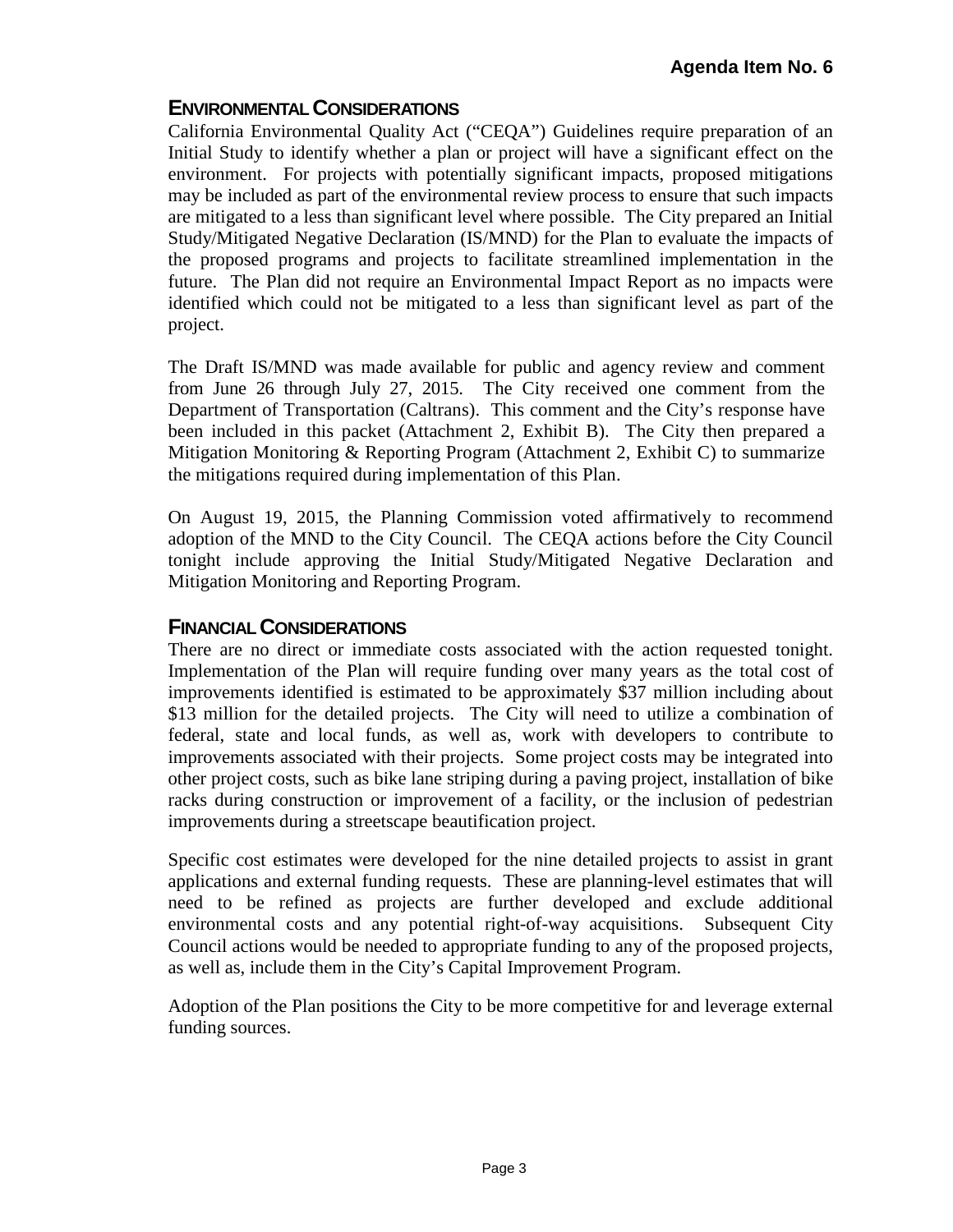## **ENVIRONMENTAL CONSIDERATIONS**

California Environmental Quality Act ("CEQA") Guidelines require preparation of an Initial Study to identify whether a plan or project will have a significant effect on the environment. For projects with potentially significant impacts, proposed mitigations may be included as part of the environmental review process to ensure that such impacts are mitigated to a less than significant level where possible. The City prepared an Initial Study/Mitigated Negative Declaration (IS/MND) for the Plan to evaluate the impacts of the proposed programs and projects to facilitate streamlined implementation in the future. The Plan did not require an Environmental Impact Report as no impacts were identified which could not be mitigated to a less than significant level as part of the project.

The Draft IS/MND was made available for public and agency review and comment from June 26 through July 27, 2015. The City received one comment from the Department of Transportation (Caltrans). This comment and the City's response have been included in this packet (Attachment 2, Exhibit B). The City then prepared a Mitigation Monitoring & Reporting Program (Attachment 2, Exhibit C) to summarize the mitigations required during implementation of this Plan.

On August 19, 2015, the Planning Commission voted affirmatively to recommend adoption of the MND to the City Council. The CEQA actions before the City Council tonight include approving the Initial Study/Mitigated Negative Declaration and Mitigation Monitoring and Reporting Program.

## **FINANCIAL CONSIDERATIONS**

There are no direct or immediate costs associated with the action requested tonight. Implementation of the Plan will require funding over many years as the total cost of improvements identified is estimated to be approximately \$37 million including about \$13 million for the detailed projects. The City will need to utilize a combination of federal, state and local funds, as well as, work with developers to contribute to improvements associated with their projects. Some project costs may be integrated into other project costs, such as bike lane striping during a paving project, installation of bike racks during construction or improvement of a facility, or the inclusion of pedestrian improvements during a streetscape beautification project.

Specific cost estimates were developed for the nine detailed projects to assist in grant applications and external funding requests. These are planning-level estimates that will need to be refined as projects are further developed and exclude additional environmental costs and any potential right-of-way acquisitions. Subsequent City Council actions would be needed to appropriate funding to any of the proposed projects, as well as, include them in the City's Capital Improvement Program.

Adoption of the Plan positions the City to be more competitive for and leverage external funding sources.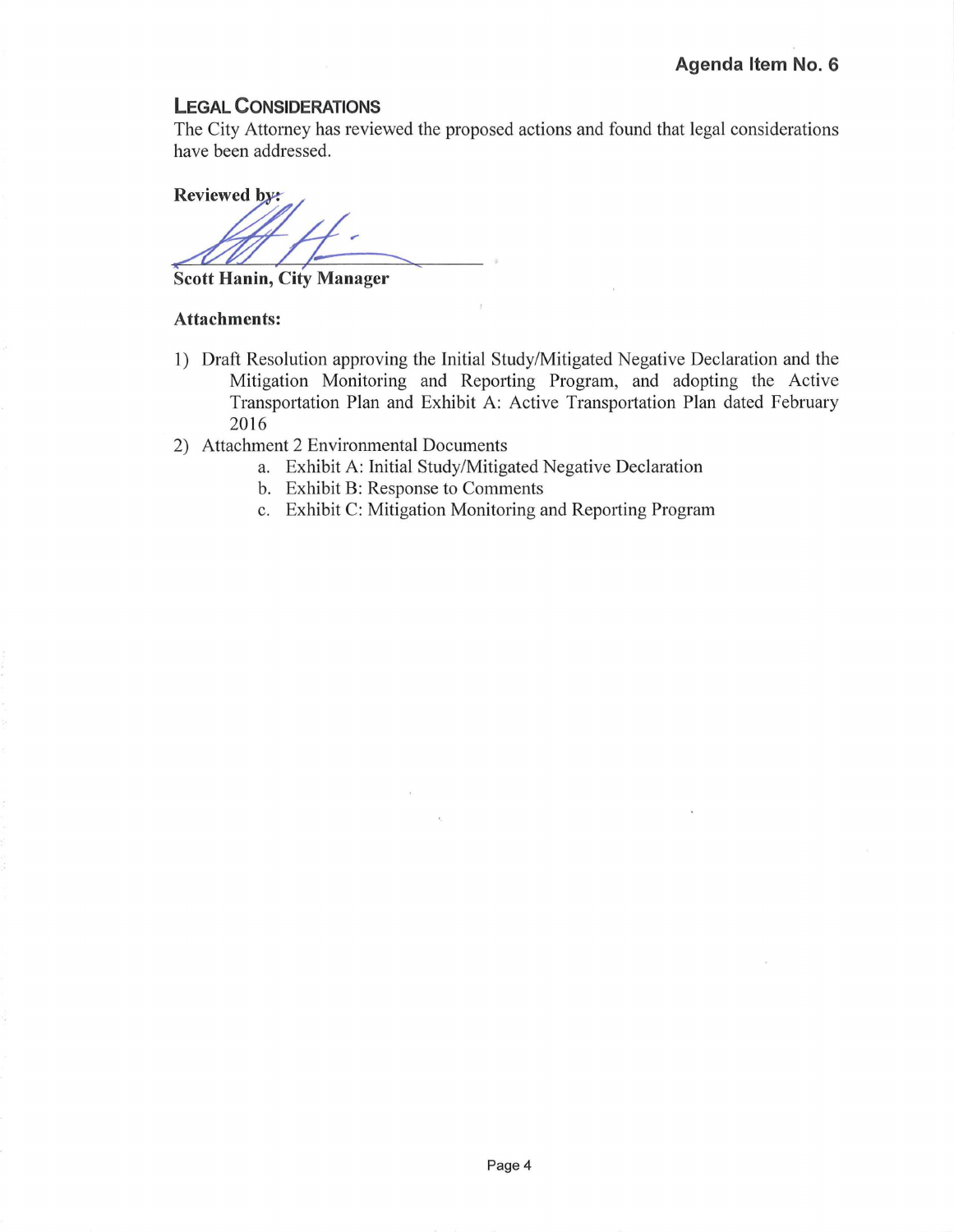#### **LEGAL CONSIDERATIONS**

The City Attorney has reviewed the proposed actions and found that legal considerations have been addressed.

**Reviewed by:** 

**Scott Hanin, City Manager** 

#### **Attachments:**

- 1) Draft Resolution approving the Initial Study/Mitigated Negative Declaration and the Mitigation Monitoring and Reporting Program, and adopting the Active Transportation Plan and Exhibit A: Active Transportation Plan dated February 2016
- 2) Attachment 2 Environmental Documents
	- a. Exhibit A: Initial Study/Mitigated Negative Declaration
	- b. Exhibit B: Response to Comments
	- c. Exhibit C: Mitigation Monitoring and Reporting Program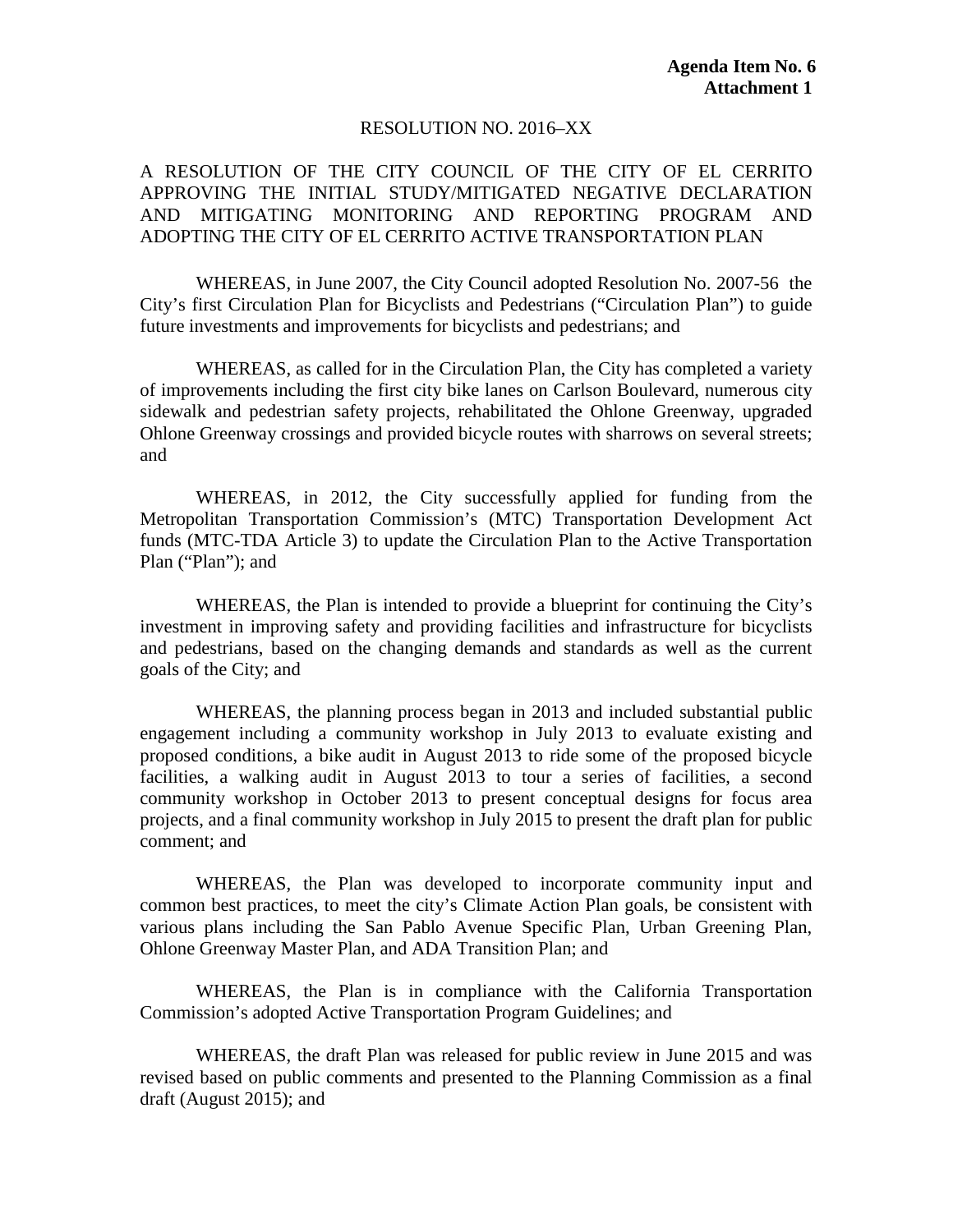#### RESOLUTION NO. 2016–XX

### A RESOLUTION OF THE CITY COUNCIL OF THE CITY OF EL CERRITO APPROVING THE INITIAL STUDY/MITIGATED NEGATIVE DECLARATION AND MITIGATING MONITORING AND REPORTING PROGRAM AND ADOPTING THE CITY OF EL CERRITO ACTIVE TRANSPORTATION PLAN

WHEREAS, in June 2007, the City Council adopted Resolution No. 2007-56 the City's first Circulation Plan for Bicyclists and Pedestrians ("Circulation Plan") to guide future investments and improvements for bicyclists and pedestrians; and

WHEREAS, as called for in the Circulation Plan, the City has completed a variety of improvements including the first city bike lanes on Carlson Boulevard, numerous city sidewalk and pedestrian safety projects, rehabilitated the Ohlone Greenway, upgraded Ohlone Greenway crossings and provided bicycle routes with sharrows on several streets; and

WHEREAS, in 2012, the City successfully applied for funding from the Metropolitan Transportation Commission's (MTC) Transportation Development Act funds (MTC-TDA Article 3) to update the Circulation Plan to the Active Transportation Plan ("Plan"); and

WHEREAS, the Plan is intended to provide a blueprint for continuing the City's investment in improving safety and providing facilities and infrastructure for bicyclists and pedestrians, based on the changing demands and standards as well as the current goals of the City; and

WHEREAS, the planning process began in 2013 and included substantial public engagement including a community workshop in July 2013 to evaluate existing and proposed conditions, a bike audit in August 2013 to ride some of the proposed bicycle facilities, a walking audit in August 2013 to tour a series of facilities, a second community workshop in October 2013 to present conceptual designs for focus area projects, and a final community workshop in July 2015 to present the draft plan for public comment; and

WHEREAS, the Plan was developed to incorporate community input and common best practices, to meet the city's Climate Action Plan goals, be consistent with various plans including the San Pablo Avenue Specific Plan, Urban Greening Plan, Ohlone Greenway Master Plan, and ADA Transition Plan; and

WHEREAS, the Plan is in compliance with the California Transportation Commission's adopted Active Transportation Program Guidelines; and

WHEREAS, the draft Plan was released for public review in June 2015 and was revised based on public comments and presented to the Planning Commission as a final draft (August 2015); and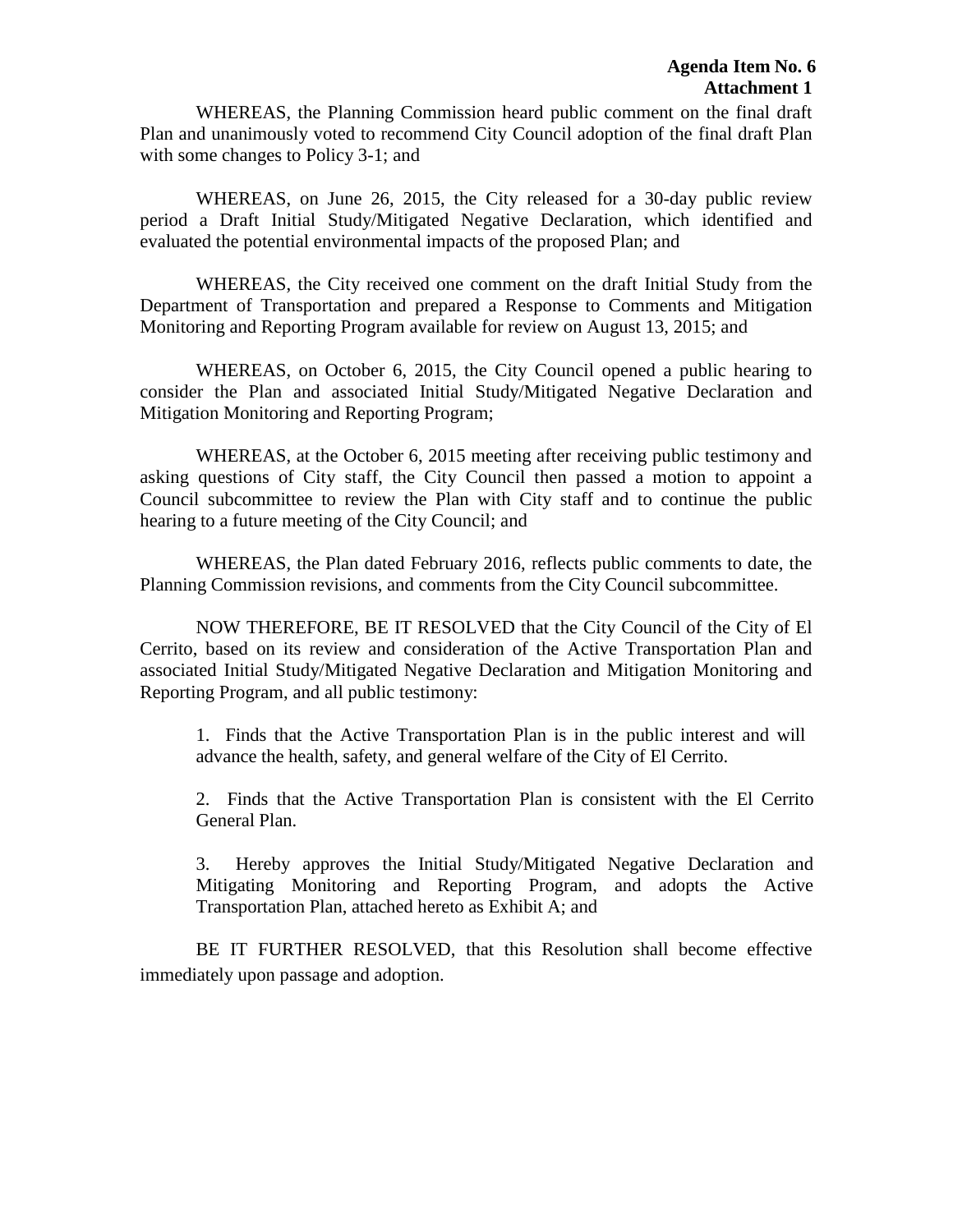WHEREAS, the Planning Commission heard public comment on the final draft Plan and unanimously voted to recommend City Council adoption of the final draft Plan with some changes to Policy 3-1; and

WHEREAS, on June 26, 2015, the City released for a 30-day public review period a Draft Initial Study/Mitigated Negative Declaration, which identified and evaluated the potential environmental impacts of the proposed Plan; and

WHEREAS, the City received one comment on the draft Initial Study from the Department of Transportation and prepared a Response to Comments and Mitigation Monitoring and Reporting Program available for review on August 13, 2015; and

WHEREAS, on October 6, 2015, the City Council opened a public hearing to consider the Plan and associated Initial Study/Mitigated Negative Declaration and Mitigation Monitoring and Reporting Program;

WHEREAS, at the October 6, 2015 meeting after receiving public testimony and asking questions of City staff, the City Council then passed a motion to appoint a Council subcommittee to review the Plan with City staff and to continue the public hearing to a future meeting of the City Council; and

WHEREAS, the Plan dated February 2016, reflects public comments to date, the Planning Commission revisions, and comments from the City Council subcommittee.

NOW THEREFORE, BE IT RESOLVED that the City Council of the City of El Cerrito, based on its review and consideration of the Active Transportation Plan and associated Initial Study/Mitigated Negative Declaration and Mitigation Monitoring and Reporting Program, and all public testimony:

1. Finds that the Active Transportation Plan is in the public interest and will advance the health, safety, and general welfare of the City of El Cerrito.

2. Finds that the Active Transportation Plan is consistent with the El Cerrito General Plan.

3. Hereby approves the Initial Study/Mitigated Negative Declaration and Mitigating Monitoring and Reporting Program, and adopts the Active Transportation Plan, attached hereto as Exhibit A; and

BE IT FURTHER RESOLVED, that this Resolution shall become effective immediately upon passage and adoption.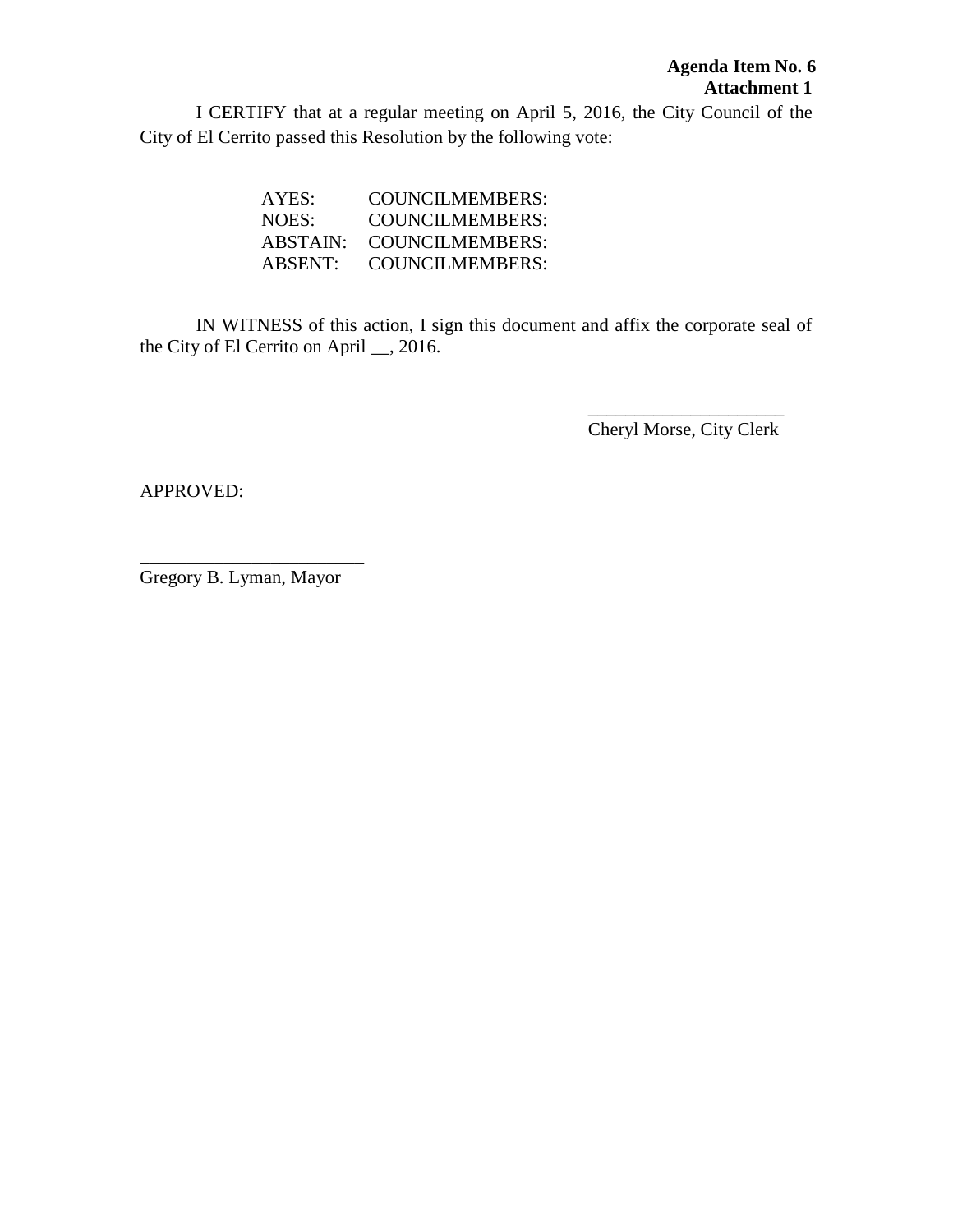I CERTIFY that at a regular meeting on April 5, 2016, the City Council of the City of El Cerrito passed this Resolution by the following vote:

| AYES:    | COUNCILMEMBERS:        |
|----------|------------------------|
| NOES:    | COUNCILMEMBERS:        |
| ABSTAIN: | <b>COUNCILMEMBERS:</b> |
| ABSENT:  | COUNCILMEMBERS:        |

IN WITNESS of this action, I sign this document and affix the corporate seal of the City of El Cerrito on April \_\_, 2016.

> \_\_\_\_\_\_\_\_\_\_\_\_\_\_\_\_\_\_\_\_\_ Cheryl Morse, City Clerk

APPROVED:

\_\_\_\_\_\_\_\_\_\_\_\_\_\_\_\_\_\_\_\_\_\_\_\_ Gregory B. Lyman, Mayor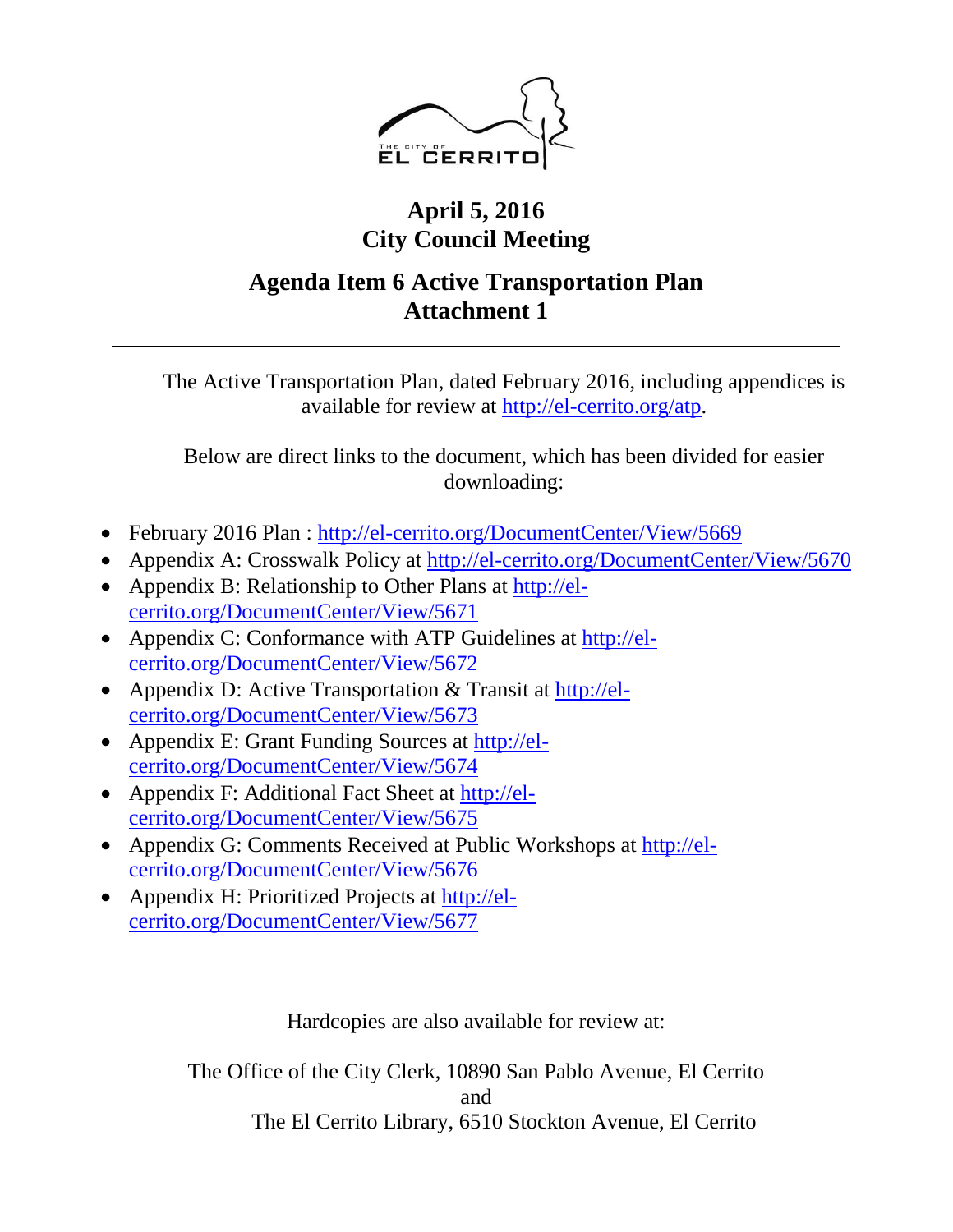

# **April 5, 2016 City Council Meeting**

# **Agenda Item 6 Active Transportation Plan Attachment 1**

The Active Transportation Plan, dated February 2016, including appendices is available for review at [http://el-cerrito.org/atp.](http://el-cerrito.org/atp)

Below are direct links to the document, which has been divided for easier downloading:

- February 2016 Plan : <http://el-cerrito.org/DocumentCenter/View/5669>
- Appendix A: Crosswalk Policy at<http://el-cerrito.org/DocumentCenter/View/5670>
- Appendix B: Relationship to Other Plans at [http://el](http://el-cerrito.org/DocumentCenter/View/5671)[cerrito.org/DocumentCenter/View/5671](http://el-cerrito.org/DocumentCenter/View/5671)
- Appendix C: Conformance with ATP Guidelines at [http://el](http://el-cerrito.org/DocumentCenter/View/5672)[cerrito.org/DocumentCenter/View/5672](http://el-cerrito.org/DocumentCenter/View/5672)
- Appendix D: Active Transportation & Transit at [http://el](http://el-cerrito.org/DocumentCenter/View/5673)[cerrito.org/DocumentCenter/View/5673](http://el-cerrito.org/DocumentCenter/View/5673)
- Appendix E: Grant Funding Sources at [http://el](http://el-cerrito.org/DocumentCenter/View/5674)[cerrito.org/DocumentCenter/View/5674](http://el-cerrito.org/DocumentCenter/View/5674)
- Appendix F: Additional Fact Sheet at [http://el](http://el-cerrito.org/DocumentCenter/View/5675)[cerrito.org/DocumentCenter/View/5675](http://el-cerrito.org/DocumentCenter/View/5675)
- Appendix G: Comments Received at Public Workshops at [http://el](http://ca-elcerrito.civicplus.com/DocumentCenter/View/5676)[cerrito.org/DocumentCenter/View/5676](http://ca-elcerrito.civicplus.com/DocumentCenter/View/5676)
- Appendix H: Prioritized Projects at [http://el](http://ca-elcerrito.civicplus.com/DocumentCenter/View/5677)[cerrito.org/DocumentCenter/View/5677](http://ca-elcerrito.civicplus.com/DocumentCenter/View/5677)

Hardcopies are also available for review at:

The Office of the City Clerk, 10890 San Pablo Avenue, El Cerrito and The El Cerrito Library, 6510 Stockton Avenue, El Cerrito